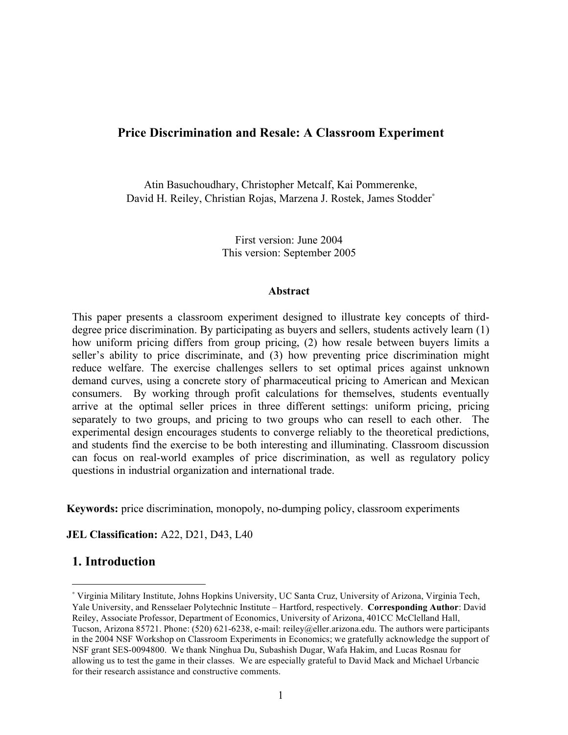## **Price Discrimination and Resale: A Classroom Experiment**

Atin Basuchoudhary, Christopher Metcalf, Kai Pommerenke, David H. Reiley, Christian Rojas, Marzena J. Rostek, James Stodder\*

> First version: June 2004 This version: September 2005

#### **Abstract**

This paper presents a classroom experiment designed to illustrate key concepts of thirddegree price discrimination. By participating as buyers and sellers, students actively learn (1) how uniform pricing differs from group pricing, (2) how resale between buyers limits a seller's ability to price discriminate, and (3) how preventing price discrimination might reduce welfare. The exercise challenges sellers to set optimal prices against unknown demand curves, using a concrete story of pharmaceutical pricing to American and Mexican consumers. By working through profit calculations for themselves, students eventually arrive at the optimal seller prices in three different settings: uniform pricing, pricing separately to two groups, and pricing to two groups who can resell to each other. The experimental design encourages students to converge reliably to the theoretical predictions, and students find the exercise to be both interesting and illuminating. Classroom discussion can focus on real-world examples of price discrimination, as well as regulatory policy questions in industrial organization and international trade.

**Keywords:** price discrimination, monopoly, no-dumping policy, classroom experiments

**JEL Classification:** A22, D21, D43, L40

## **1. Introduction**

 $\overline{a}$ 

<sup>∗</sup> Virginia Military Institute, Johns Hopkins University, UC Santa Cruz, University of Arizona, Virginia Tech, Yale University, and Rensselaer Polytechnic Institute – Hartford, respectively. **Corresponding Author**: David Reiley, Associate Professor, Department of Economics, University of Arizona, 401CC McClelland Hall, Tucson, Arizona 85721. Phone: (520) 621-6238, e-mail: reiley@eller.arizona.edu. The authors were participants in the 2004 NSF Workshop on Classroom Experiments in Economics; we gratefully acknowledge the support of NSF grant SES-0094800. We thank Ninghua Du, Subashish Dugar, Wafa Hakim, and Lucas Rosnau for allowing us to test the game in their classes. We are especially grateful to David Mack and Michael Urbancic for their research assistance and constructive comments.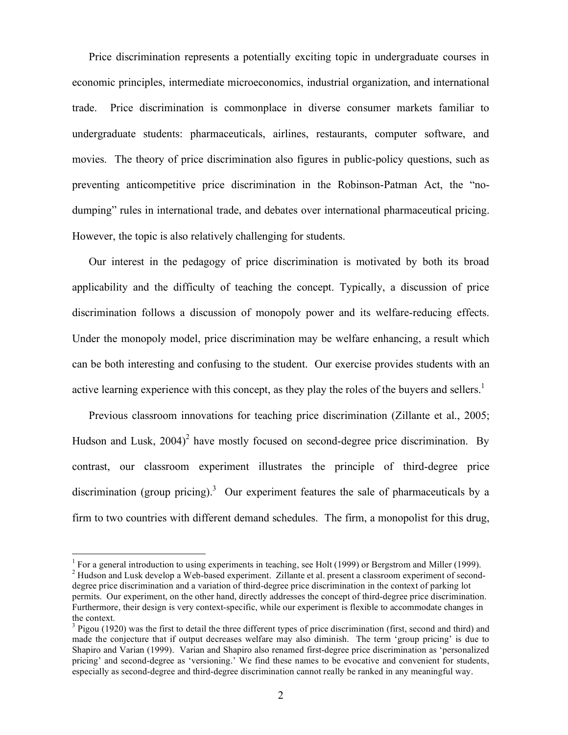Price discrimination represents a potentially exciting topic in undergraduate courses in economic principles, intermediate microeconomics, industrial organization, and international trade. Price discrimination is commonplace in diverse consumer markets familiar to undergraduate students: pharmaceuticals, airlines, restaurants, computer software, and movies. The theory of price discrimination also figures in public-policy questions, such as preventing anticompetitive price discrimination in the Robinson-Patman Act, the "nodumping" rules in international trade, and debates over international pharmaceutical pricing. However, the topic is also relatively challenging for students.

Our interest in the pedagogy of price discrimination is motivated by both its broad applicability and the difficulty of teaching the concept. Typically, a discussion of price discrimination follows a discussion of monopoly power and its welfare-reducing effects. Under the monopoly model, price discrimination may be welfare enhancing, a result which can be both interesting and confusing to the student. Our exercise provides students with an active learning experience with this concept, as they play the roles of the buyers and sellers.<sup>1</sup>

Previous classroom innovations for teaching price discrimination (Zillante et al., 2005; Hudson and Lusk,  $2004$ <sup>2</sup> have mostly focused on second-degree price discrimination. By contrast, our classroom experiment illustrates the principle of third-degree price discrimination (group pricing).<sup>3</sup> Our experiment features the sale of pharmaceuticals by a firm to two countries with different demand schedules. The firm, a monopolist for this drug,

<sup>&</sup>lt;sup>1</sup> For a general introduction to using experiments in teaching, see Holt (1999) or Bergstrom and Miller (1999). <sup>2</sup> Hudson and Lusk develop a Web-based experiment. Zillante et al. present a classroom experiment of second

degree price discrimination and a variation of third-degree price discrimination in the context of parking lot permits. Our experiment, on the other hand, directly addresses the concept of third-degree price discrimination. Furthermore, their design is very context-specific, while our experiment is flexible to accommodate changes in the context.<br><sup>3</sup> Pigou (1920) was the first to detail the three different types of price discrimination (first, second and third) and

made the conjecture that if output decreases welfare may also diminish. The term 'group pricing' is due to Shapiro and Varian (1999). Varian and Shapiro also renamed first-degree price discrimination as 'personalized pricing' and second-degree as 'versioning.' We find these names to be evocative and convenient for students, especially as second-degree and third-degree discrimination cannot really be ranked in any meaningful way.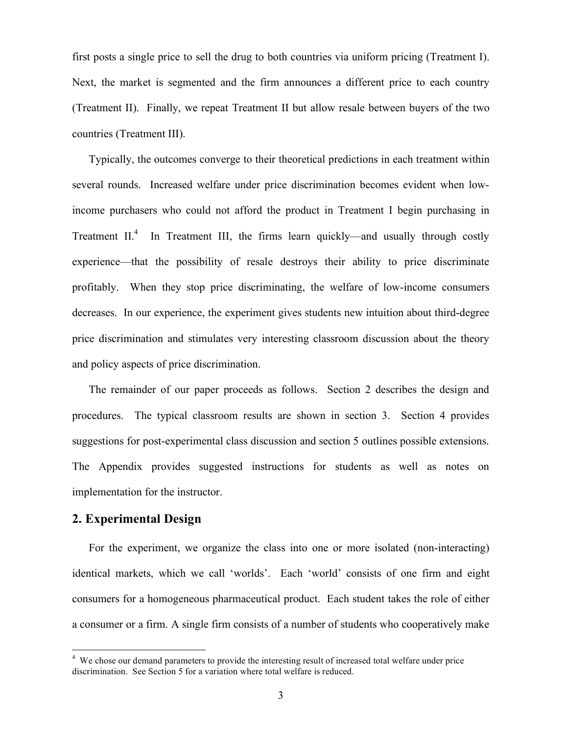first posts a single price to sell the drug to both countries via uniform pricing (Treatment I). Next, the market is segmented and the firm announces a different price to each country (Treatment II). Finally, we repeat Treatment II but allow resale between buyers of the two countries (Treatment III).

Typically, the outcomes converge to their theoretical predictions in each treatment within several rounds. Increased welfare under price discrimination becomes evident when lowincome purchasers who could not afford the product in Treatment I begin purchasing in Treatment II.<sup>4</sup> In Treatment III, the firms learn quickly—and usually through costly experience—that the possibility of resale destroys their ability to price discriminate profitably. When they stop price discriminating, the welfare of low-income consumers decreases. In our experience, the experiment gives students new intuition about third-degree price discrimination and stimulates very interesting classroom discussion about the theory and policy aspects of price discrimination.

The remainder of our paper proceeds as follows. Section 2 describes the design and procedures. The typical classroom results are shown in section 3. Section 4 provides suggestions for post-experimental class discussion and section 5 outlines possible extensions. The Appendix provides suggested instructions for students as well as notes on implementation for the instructor.

## **2. Experimental Design**

For the experiment, we organize the class into one or more isolated (non-interacting) identical markets, which we call 'worlds'. Each 'world' consists of one firm and eight consumers for a homogeneous pharmaceutical product. Each student takes the role of either a consumer or a firm. A single firm consists of a number of students who cooperatively make

<sup>&</sup>lt;sup>4</sup> We chose our demand parameters to provide the interesting result of increased total welfare under price discrimination. See Section 5 for a variation where total welfare is reduced.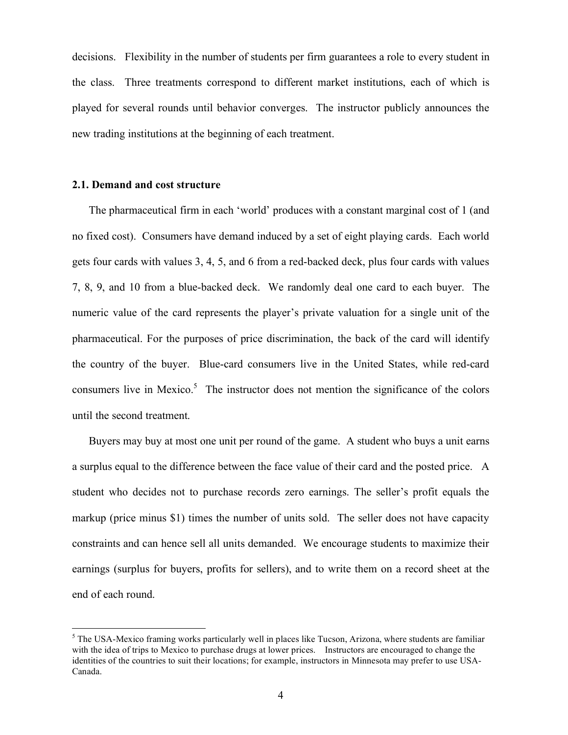decisions. Flexibility in the number of students per firm guarantees a role to every student in the class. Three treatments correspond to different market institutions, each of which is played for several rounds until behavior converges. The instructor publicly announces the new trading institutions at the beginning of each treatment.

#### **2.1. Demand and cost structure**

The pharmaceutical firm in each 'world' produces with a constant marginal cost of 1 (and no fixed cost). Consumers have demand induced by a set of eight playing cards. Each world gets four cards with values 3, 4, 5, and 6 from a red-backed deck, plus four cards with values 7, 8, 9, and 10 from a blue-backed deck. We randomly deal one card to each buyer. The numeric value of the card represents the player's private valuation for a single unit of the pharmaceutical. For the purposes of price discrimination, the back of the card will identify the country of the buyer. Blue-card consumers live in the United States, while red-card consumers live in Mexico. $5$  The instructor does not mention the significance of the colors until the second treatment.

Buyers may buy at most one unit per round of the game. A student who buys a unit earns a surplus equal to the difference between the face value of their card and the posted price. A student who decides not to purchase records zero earnings. The seller's profit equals the markup (price minus \$1) times the number of units sold. The seller does not have capacity constraints and can hence sell all units demanded. We encourage students to maximize their earnings (surplus for buyers, profits for sellers), and to write them on a record sheet at the end of each round.

 $<sup>5</sup>$  The USA-Mexico framing works particularly well in places like Tucson, Arizona, where students are familiar</sup> with the idea of trips to Mexico to purchase drugs at lower prices. Instructors are encouraged to change the identities of the countries to suit their locations; for example, instructors in Minnesota may prefer to use USA-Canada.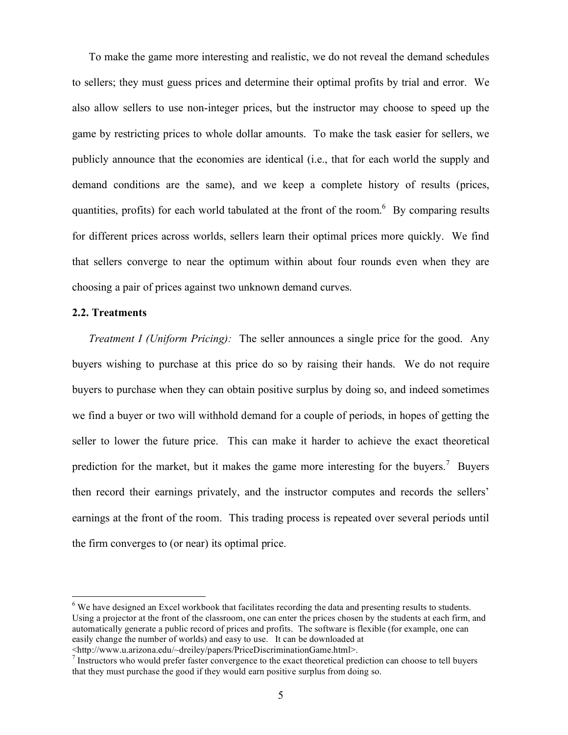To make the game more interesting and realistic, we do not reveal the demand schedules to sellers; they must guess prices and determine their optimal profits by trial and error. We also allow sellers to use non-integer prices, but the instructor may choose to speed up the game by restricting prices to whole dollar amounts. To make the task easier for sellers, we publicly announce that the economies are identical (i.e., that for each world the supply and demand conditions are the same), and we keep a complete history of results (prices, quantities, profits) for each world tabulated at the front of the room.<sup>6</sup> By comparing results for different prices across worlds, sellers learn their optimal prices more quickly. We find that sellers converge to near the optimum within about four rounds even when they are choosing a pair of prices against two unknown demand curves.

#### **2.2. Treatments**

*Treatment I (Uniform Pricing):* The seller announces a single price for the good. Any buyers wishing to purchase at this price do so by raising their hands. We do not require buyers to purchase when they can obtain positive surplus by doing so, and indeed sometimes we find a buyer or two will withhold demand for a couple of periods, in hopes of getting the seller to lower the future price. This can make it harder to achieve the exact theoretical prediction for the market, but it makes the game more interesting for the buyers.<sup>7</sup> Buyers then record their earnings privately, and the instructor computes and records the sellers' earnings at the front of the room. This trading process is repeated over several periods until the firm converges to (or near) its optimal price.

<sup>&</sup>lt;sup>6</sup> We have designed an Excel workbook that facilitates recording the data and presenting results to students. Using a projector at the front of the classroom, one can enter the prices chosen by the students at each firm, and automatically generate a public record of prices and profits. The software is flexible (for example, one can easily change the number of worlds) and easy to use. It can be downloaded at

 $\le$ http://www.u.arizona.edu/ $\sim$ dreiley/papers/PriceDiscriminationGame.html>.<br><sup>7</sup> Instructors who would prefer faster convergence to the exact theoretical prediction can choose to tell buyers that they must purchase the good if they would earn positive surplus from doing so.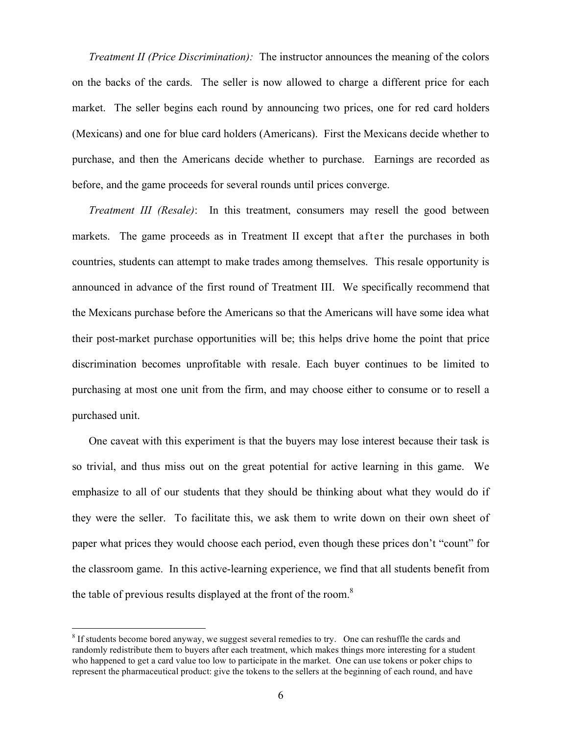*Treatment II (Price Discrimination):* The instructor announces the meaning of the colors on the backs of the cards. The seller is now allowed to charge a different price for each market. The seller begins each round by announcing two prices, one for red card holders (Mexicans) and one for blue card holders (Americans). First the Mexicans decide whether to purchase, and then the Americans decide whether to purchase. Earnings are recorded as before, and the game proceeds for several rounds until prices converge.

*Treatment III (Resale)*: In this treatment, consumers may resell the good between markets. The game proceeds as in Treatment II except that after the purchases in both countries, students can attempt to make trades among themselves. This resale opportunity is announced in advance of the first round of Treatment III. We specifically recommend that the Mexicans purchase before the Americans so that the Americans will have some idea what their post-market purchase opportunities will be; this helps drive home the point that price discrimination becomes unprofitable with resale. Each buyer continues to be limited to purchasing at most one unit from the firm, and may choose either to consume or to resell a purchased unit.

One caveat with this experiment is that the buyers may lose interest because their task is so trivial, and thus miss out on the great potential for active learning in this game. We emphasize to all of our students that they should be thinking about what they would do if they were the seller. To facilitate this, we ask them to write down on their own sheet of paper what prices they would choose each period, even though these prices don't "count" for the classroom game. In this active-learning experience, we find that all students benefit from the table of previous results displayed at the front of the room.<sup>8</sup>

<sup>&</sup>lt;sup>8</sup> If students become bored anyway, we suggest several remedies to try. One can reshuffle the cards and randomly redistribute them to buyers after each treatment, which makes things more interesting for a student who happened to get a card value too low to participate in the market. One can use tokens or poker chips to represent the pharmaceutical product: give the tokens to the sellers at the beginning of each round, and have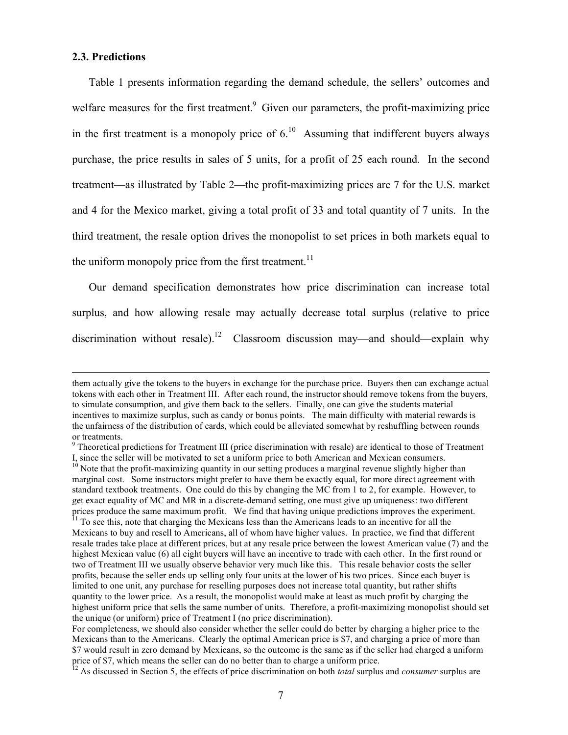#### **2.3. Predictions**

Table 1 presents information regarding the demand schedule, the sellers' outcomes and welfare measures for the first treatment.<sup>9</sup> Given our parameters, the profit-maximizing price in the first treatment is a monopoly price of  $6<sup>10</sup>$ . Assuming that indifferent buyers always purchase, the price results in sales of 5 units, for a profit of 25 each round. In the second treatment—as illustrated by Table 2—the profit-maximizing prices are 7 for the U.S. market and 4 for the Mexico market, giving a total profit of 33 and total quantity of 7 units. In the third treatment, the resale option drives the monopolist to set prices in both markets equal to the uniform monopoly price from the first treatment.<sup>11</sup>

Our demand specification demonstrates how price discrimination can increase total surplus, and how allowing resale may actually decrease total surplus (relative to price discrimination without resale).<sup>12</sup> Classroom discussion may—and should—explain why

them actually give the tokens to the buyers in exchange for the purchase price. Buyers then can exchange actual tokens with each other in Treatment III. After each round, the instructor should remove tokens from the buyers, to simulate consumption, and give them back to the sellers. Finally, one can give the students material incentives to maximize surplus, such as candy or bonus points. The main difficulty with material rewards is the unfairness of the distribution of cards, which could be alleviated somewhat by reshuffling between rounds

or treatments.<br><sup>9</sup> Theoretical predictions for Treatment III (price discrimination with resale) are identical to those of Treatment I, since the seller will be motivated to set a uniform price to both American and Mexican

 $10$  Note that the profit-maximizing quantity in our setting produces a marginal revenue slightly higher than marginal cost. Some instructors might prefer to have them be exactly equal, for more direct agreement with standard textbook treatments. One could do this by changing the MC from 1 to 2, for example. However, to get exact equality of MC and MR in a discrete-demand setting, one must give up uniqueness: two different prices produce the same maximum profit. We find that having unique predictions improves the experiment.<br><sup>11</sup> To see this, note that charging the Mexicans less than the Americans leads to an incentive for all the

Mexicans to buy and resell to Americans, all of whom have higher values. In practice, we find that different resale trades take place at different prices, but at any resale price between the lowest American value (7) and the highest Mexican value (6) all eight buyers will have an incentive to trade with each other. In the first round or two of Treatment III we usually observe behavior very much like this. This resale behavior costs the seller profits, because the seller ends up selling only four units at the lower of his two prices. Since each buyer is limited to one unit, any purchase for reselling purposes does not increase total quantity, but rather shifts quantity to the lower price. As a result, the monopolist would make at least as much profit by charging the highest uniform price that sells the same number of units. Therefore, a profit-maximizing monopolist should set the unique (or uniform) price of Treatment I (no price discrimination).

For completeness, we should also consider whether the seller could do better by charging a higher price to the Mexicans than to the Americans. Clearly the optimal American price is \$7, and charging a price of more than \$7 would result in zero demand by Mexicans, so the outcome is the same as if the seller had charged a uniform price of \$7, which means the seller can do no better than to charge a uniform price.<br><sup>12</sup> As discussed in Section 5, the effects of price discrimination on both *total* surplus and *consumer* surplus are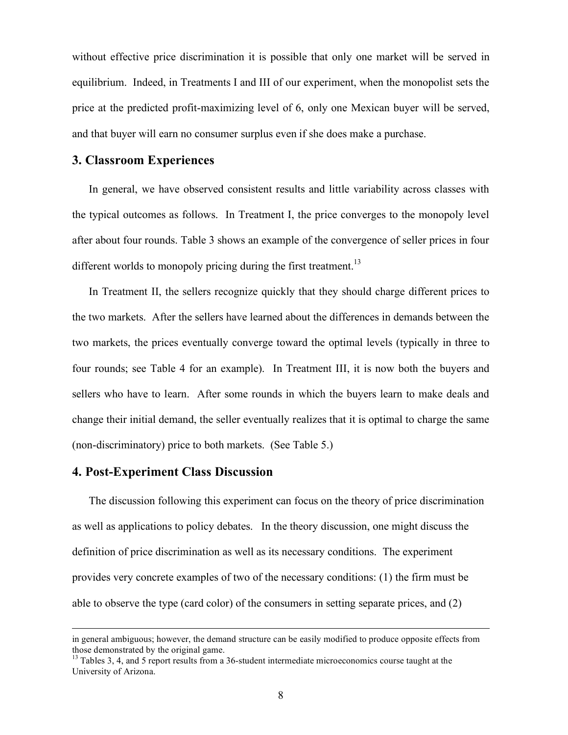without effective price discrimination it is possible that only one market will be served in equilibrium. Indeed, in Treatments I and III of our experiment, when the monopolist sets the price at the predicted profit-maximizing level of 6, only one Mexican buyer will be served, and that buyer will earn no consumer surplus even if she does make a purchase.

### **3. Classroom Experiences**

In general, we have observed consistent results and little variability across classes with the typical outcomes as follows. In Treatment I, the price converges to the monopoly level after about four rounds. Table 3 shows an example of the convergence of seller prices in four different worlds to monopoly pricing during the first treatment.<sup>13</sup>

In Treatment II, the sellers recognize quickly that they should charge different prices to the two markets. After the sellers have learned about the differences in demands between the two markets, the prices eventually converge toward the optimal levels (typically in three to four rounds; see Table 4 for an example). In Treatment III, it is now both the buyers and sellers who have to learn. After some rounds in which the buyers learn to make deals and change their initial demand, the seller eventually realizes that it is optimal to charge the same (non-discriminatory) price to both markets. (See Table 5.)

### **4. Post-Experiment Class Discussion**

The discussion following this experiment can focus on the theory of price discrimination as well as applications to policy debates. In the theory discussion, one might discuss the definition of price discrimination as well as its necessary conditions. The experiment provides very concrete examples of two of the necessary conditions: (1) the firm must be able to observe the type (card color) of the consumers in setting separate prices, and (2)

in general ambiguous; however, the demand structure can be easily modified to produce opposite effects from those demonstrated by the original game.<br><sup>13</sup> Tables 3, 4, and 5 report results from a 36-student intermediate microeconomics course taught at the

University of Arizona.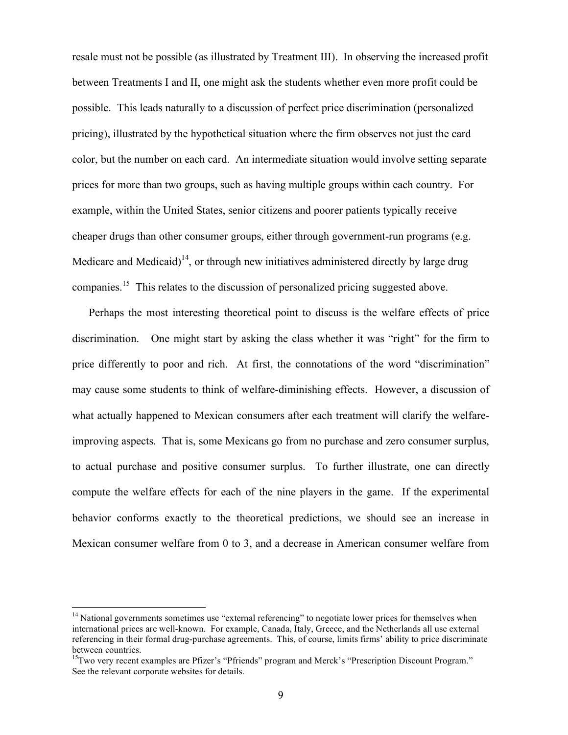resale must not be possible (as illustrated by Treatment III). In observing the increased profit between Treatments I and II, one might ask the students whether even more profit could be possible. This leads naturally to a discussion of perfect price discrimination (personalized pricing), illustrated by the hypothetical situation where the firm observes not just the card color, but the number on each card. An intermediate situation would involve setting separate prices for more than two groups, such as having multiple groups within each country. For example, within the United States, senior citizens and poorer patients typically receive cheaper drugs than other consumer groups, either through government-run programs (e.g. Medicare and Medicaid)<sup>14</sup>, or through new initiatives administered directly by large drug companies.<sup>15</sup> This relates to the discussion of personalized pricing suggested above.

Perhaps the most interesting theoretical point to discuss is the welfare effects of price discrimination. One might start by asking the class whether it was "right" for the firm to price differently to poor and rich. At first, the connotations of the word "discrimination" may cause some students to think of welfare-diminishing effects. However, a discussion of what actually happened to Mexican consumers after each treatment will clarify the welfareimproving aspects. That is, some Mexicans go from no purchase and zero consumer surplus, to actual purchase and positive consumer surplus. To further illustrate, one can directly compute the welfare effects for each of the nine players in the game. If the experimental behavior conforms exactly to the theoretical predictions, we should see an increase in Mexican consumer welfare from 0 to 3, and a decrease in American consumer welfare from

<sup>&</sup>lt;sup>14</sup> National governments sometimes use "external referencing" to negotiate lower prices for themselves when international prices are well-known. For example, Canada, Italy, Greece, and the Netherlands all use external referencing in their formal drug-purchase agreements. This, of course, limits firms' ability to price discriminate between countries.

<sup>&</sup>lt;sup>15</sup>Two very recent examples are Pfizer's "Pfriends" program and Merck's "Prescription Discount Program." See the relevant corporate websites for details.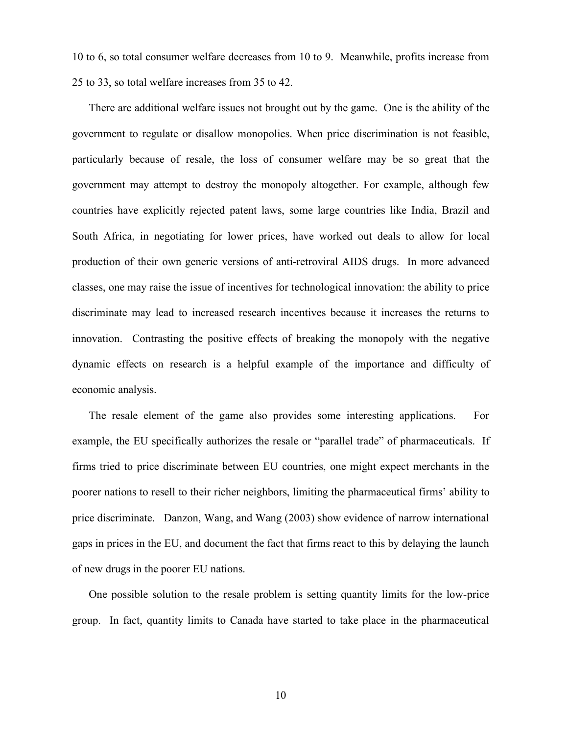10 to 6, so total consumer welfare decreases from 10 to 9. Meanwhile, profits increase from 25 to 33, so total welfare increases from 35 to 42.

There are additional welfare issues not brought out by the game. One is the ability of the government to regulate or disallow monopolies. When price discrimination is not feasible, particularly because of resale, the loss of consumer welfare may be so great that the government may attempt to destroy the monopoly altogether. For example, although few countries have explicitly rejected patent laws, some large countries like India, Brazil and South Africa, in negotiating for lower prices, have worked out deals to allow for local production of their own generic versions of anti-retroviral AIDS drugs. In more advanced classes, one may raise the issue of incentives for technological innovation: the ability to price discriminate may lead to increased research incentives because it increases the returns to innovation. Contrasting the positive effects of breaking the monopoly with the negative dynamic effects on research is a helpful example of the importance and difficulty of economic analysis.

The resale element of the game also provides some interesting applications. For example, the EU specifically authorizes the resale or "parallel trade" of pharmaceuticals. If firms tried to price discriminate between EU countries, one might expect merchants in the poorer nations to resell to their richer neighbors, limiting the pharmaceutical firms' ability to price discriminate. Danzon, Wang, and Wang (2003) show evidence of narrow international gaps in prices in the EU, and document the fact that firms react to this by delaying the launch of new drugs in the poorer EU nations.

One possible solution to the resale problem is setting quantity limits for the low-price group. In fact, quantity limits to Canada have started to take place in the pharmaceutical

10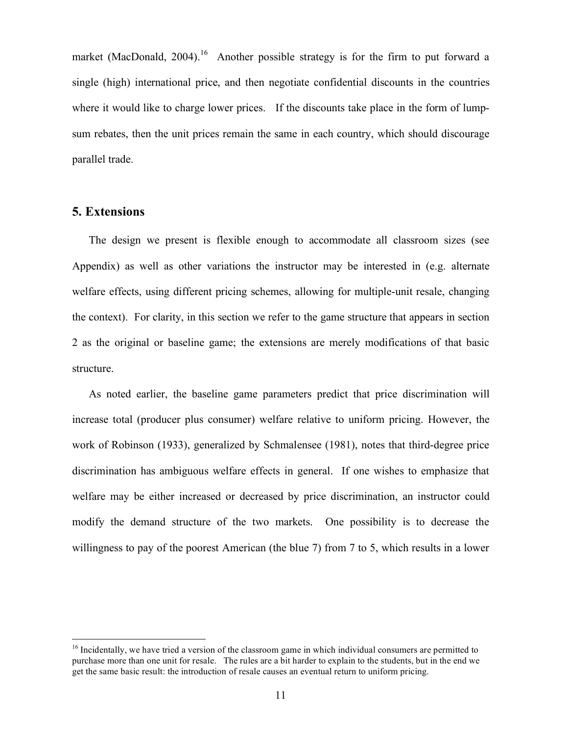market (MacDonald, 2004).<sup>16</sup> Another possible strategy is for the firm to put forward a single (high) international price, and then negotiate confidential discounts in the countries where it would like to charge lower prices. If the discounts take place in the form of lumpsum rebates, then the unit prices remain the same in each country, which should discourage parallel trade.

## **5. Extensions**

The design we present is flexible enough to accommodate all classroom sizes (see Appendix) as well as other variations the instructor may be interested in (e.g. alternate welfare effects, using different pricing schemes, allowing for multiple-unit resale, changing the context). For clarity, in this section we refer to the game structure that appears in section 2 as the original or baseline game; the extensions are merely modifications of that basic structure.

As noted earlier, the baseline game parameters predict that price discrimination will increase total (producer plus consumer) welfare relative to uniform pricing. However, the work of Robinson (1933), generalized by Schmalensee (1981), notes that third-degree price discrimination has ambiguous welfare effects in general. If one wishes to emphasize that welfare may be either increased or decreased by price discrimination, an instructor could modify the demand structure of the two markets. One possibility is to decrease the willingness to pay of the poorest American (the blue 7) from 7 to 5, which results in a lower

<sup>&</sup>lt;sup>16</sup> Incidentally, we have tried a version of the classroom game in which individual consumers are permitted to purchase more than one unit for resale. The rules are a bit harder to explain to the students, but in the end we get the same basic result: the introduction of resale causes an eventual return to uniform pricing.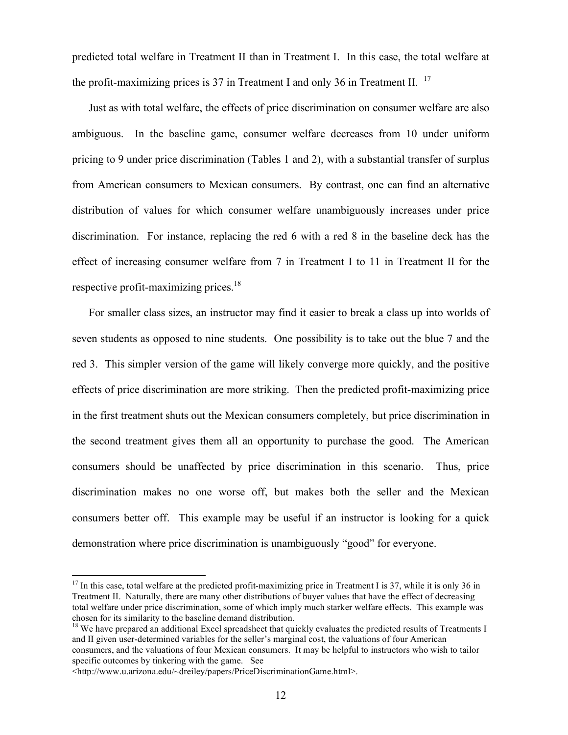predicted total welfare in Treatment II than in Treatment I. In this case, the total welfare at the profit-maximizing prices is 37 in Treatment I and only 36 in Treatment II.  $17$ 

Just as with total welfare, the effects of price discrimination on consumer welfare are also ambiguous. In the baseline game, consumer welfare decreases from 10 under uniform pricing to 9 under price discrimination (Tables 1 and 2), with a substantial transfer of surplus from American consumers to Mexican consumers. By contrast, one can find an alternative distribution of values for which consumer welfare unambiguously increases under price discrimination. For instance, replacing the red 6 with a red 8 in the baseline deck has the effect of increasing consumer welfare from 7 in Treatment I to 11 in Treatment II for the respective profit-maximizing prices.<sup>18</sup>

For smaller class sizes, an instructor may find it easier to break a class up into worlds of seven students as opposed to nine students. One possibility is to take out the blue 7 and the red 3. This simpler version of the game will likely converge more quickly, and the positive effects of price discrimination are more striking. Then the predicted profit-maximizing price in the first treatment shuts out the Mexican consumers completely, but price discrimination in the second treatment gives them all an opportunity to purchase the good. The American consumers should be unaffected by price discrimination in this scenario. Thus, price discrimination makes no one worse off, but makes both the seller and the Mexican consumers better off. This example may be useful if an instructor is looking for a quick demonstration where price discrimination is unambiguously "good" for everyone.

 $17$  In this case, total welfare at the predicted profit-maximizing price in Treatment I is 37, while it is only 36 in Treatment II. Naturally, there are many other distributions of buyer values that have the effect of decreasing total welfare under price discrimination, some of which imply much starker welfare effects. This example was chosen for its similarity to the baseline demand distribution.<br><sup>18</sup> We have prepared an additional Excel spreadsheet that quickly evaluates the predicted results of Treatments I

and II given user-determined variables for the seller's marginal cost, the valuations of four American consumers, and the valuations of four Mexican consumers. It may be helpful to instructors who wish to tailor specific outcomes by tinkering with the game. See

<sup>&</sup>lt;http://www.u.arizona.edu/~dreiley/papers/PriceDiscriminationGame.html>.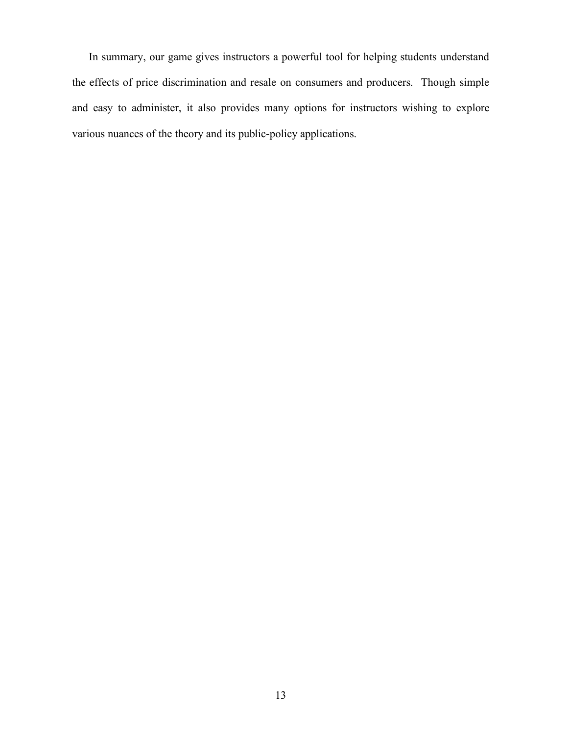In summary, our game gives instructors a powerful tool for helping students understand the effects of price discrimination and resale on consumers and producers. Though simple and easy to administer, it also provides many options for instructors wishing to explore various nuances of the theory and its public-policy applications.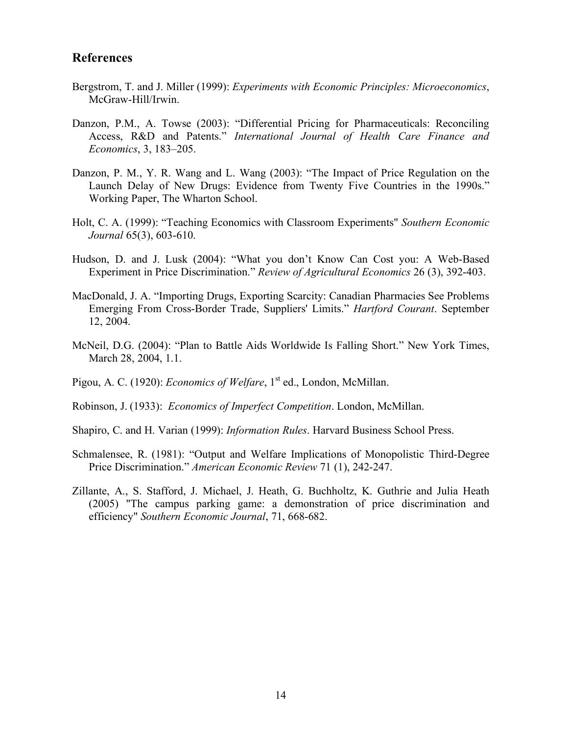## **References**

- Bergstrom, T. and J. Miller (1999): *Experiments with Economic Principles: Microeconomics*, McGraw-Hill/Irwin.
- Danzon, P.M., A. Towse (2003): "Differential Pricing for Pharmaceuticals: Reconciling Access, R&D and Patents." *International Journal of Health Care Finance and Economics*, 3, 183–205.
- Danzon, P. M., Y. R. Wang and L. Wang (2003): "The Impact of Price Regulation on the Launch Delay of New Drugs: Evidence from Twenty Five Countries in the 1990s." Working Paper, The Wharton School.
- Holt, C. A. (1999): "Teaching Economics with Classroom Experiments" *Southern Economic Journal* 65(3), 603-610.
- Hudson, D. and J. Lusk (2004): "What you don't Know Can Cost you: A Web-Based Experiment in Price Discrimination." *Review of Agricultural Economics* 26 (3), 392-403.
- MacDonald, J. A. "Importing Drugs, Exporting Scarcity: Canadian Pharmacies See Problems Emerging From Cross-Border Trade, Suppliers' Limits." *Hartford Courant*. September 12, 2004.
- McNeil, D.G. (2004): "Plan to Battle Aids Worldwide Is Falling Short." New York Times, March 28, 2004, 1.1.
- Pigou, A. C. (1920): *Economics of Welfare*, 1<sup>st</sup> ed., London, McMillan.
- Robinson, J. (1933): *Economics of Imperfect Competition*. London, McMillan.
- Shapiro, C. and H. Varian (1999): *Information Rules*. Harvard Business School Press.
- Schmalensee, R. (1981): "Output and Welfare Implications of Monopolistic Third-Degree Price Discrimination." *American Economic Review* 71 (1), 242-247.
- Zillante, A., S. Stafford, J. Michael, J. Heath, G. Buchholtz, K. Guthrie and Julia Heath (2005) "The campus parking game: a demonstration of price discrimination and efficiency" *Southern Economic Journal*, 71, 668-682.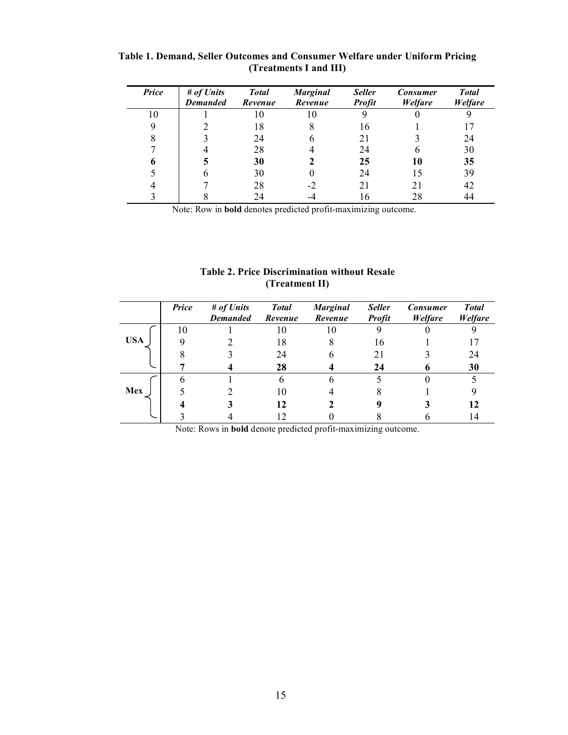| Price | $#$ of Units<br><b>Demanded</b> | <b>Total</b><br>Revenue | <b>Marginal</b><br>Revenue | <b>Seller</b><br><b>Profit</b> | <b>Consumer</b><br>Welfare | <b>Total</b><br>Welfare |
|-------|---------------------------------|-------------------------|----------------------------|--------------------------------|----------------------------|-------------------------|
| 10    |                                 | 10                      | 10                         |                                |                            |                         |
| Q     |                                 | 18                      |                            | 16                             |                            |                         |
| 8     |                                 | 24                      |                            | 21                             |                            | 24                      |
|       |                                 | 28                      |                            | 24                             |                            | 30                      |
|       |                                 | 30                      |                            | 25                             | 10                         | 35                      |
|       |                                 | 30                      |                            | 24                             |                            | 39                      |
|       |                                 | 28                      | $-2$                       | 21                             |                            | 42                      |
|       |                                 | 24                      |                            | 16                             | 28                         | 44                      |

**Table 1. Demand, Seller Outcomes and Consumer Welfare under Uniform Pricing (Treatments I and III)**

Note: Row in **bold** denotes predicted profit-maximizing outcome.

| <b>Table 2. Price Discrimination without Resale</b> |  |
|-----------------------------------------------------|--|
| (Treatment II)                                      |  |

|            | <b>Price</b> | $#$ of Units<br><b>Demanded</b> | <b>Total</b><br>Revenue | <b>Marginal</b><br>Revenue | <b>Seller</b><br><b>Profit</b> | <b>Consumer</b><br>Welfare | <b>Total</b><br>Welfare |
|------------|--------------|---------------------------------|-------------------------|----------------------------|--------------------------------|----------------------------|-------------------------|
|            | 10           |                                 | 10                      | 10                         |                                |                            |                         |
| <b>USA</b> |              |                                 | 18                      |                            | 16                             |                            |                         |
|            |              |                                 | 24                      | n                          | 21                             |                            | 24                      |
|            |              |                                 | 28                      |                            | 24                             |                            | 30                      |
|            |              |                                 |                         |                            |                                |                            |                         |
| Mex        |              |                                 | 10                      |                            |                                |                            |                         |
|            |              |                                 | 12                      |                            |                                |                            | 12                      |
|            |              |                                 |                         |                            |                                |                            | 14                      |

Note: Rows in **bold** denote predicted profit-maximizing outcome.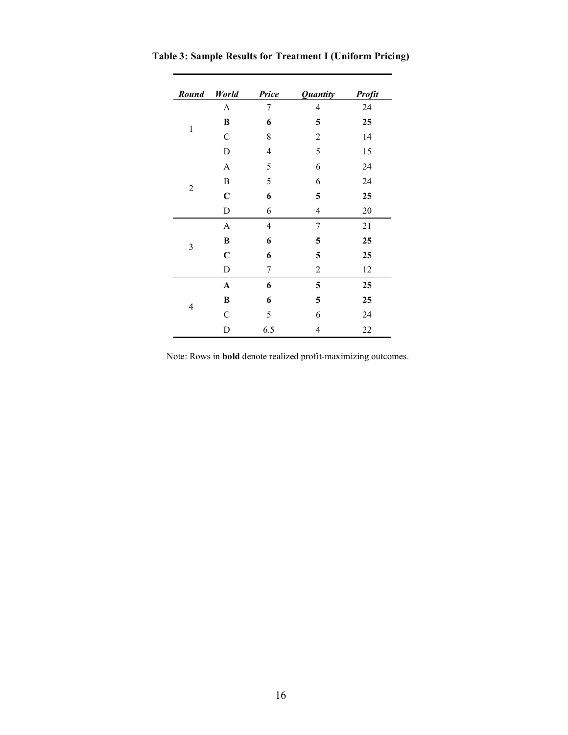| Round                    | World         | Price          | <b>Quantity</b> | <b>Profit</b> |
|--------------------------|---------------|----------------|-----------------|---------------|
|                          | A             | 7              | 4               | 24            |
| $\mathbf 1$              | B             | 6              | 5               | 25            |
|                          | $\mathcal{C}$ | 8              | $\overline{c}$  | 14            |
|                          | ${\rm D}$     | $\overline{4}$ | 5               | 15            |
|                          | A             | 5              | 6               | 24            |
| $\overline{2}$           | $\, {\bf B}$  | 5              | 6               | 24            |
|                          | $\mathbf C$   | 6              | 5               | 25            |
|                          | D             | 6              | 4               | $20\,$        |
|                          | A             | $\overline{4}$ | 7               | 21            |
| 3                        | B             | 6              | 5               | 25            |
|                          | $\mathbf C$   | 6              | 5               | 25            |
|                          | D             | $\overline{7}$ | $\overline{c}$  | 12            |
|                          | $\mathbf A$   | 6              | 5               | 25            |
| $\overline{\mathcal{L}}$ | B             | 6              | 5               | 25            |
|                          | $\mathcal{C}$ | 5              | 6               | 24            |
|                          | D             | 6.5            | 4               | 22            |

**Table 3: Sample Results for Treatment I (Uniform Pricing)**

Note: Rows in **bold** denote realized profit-maximizing outcomes.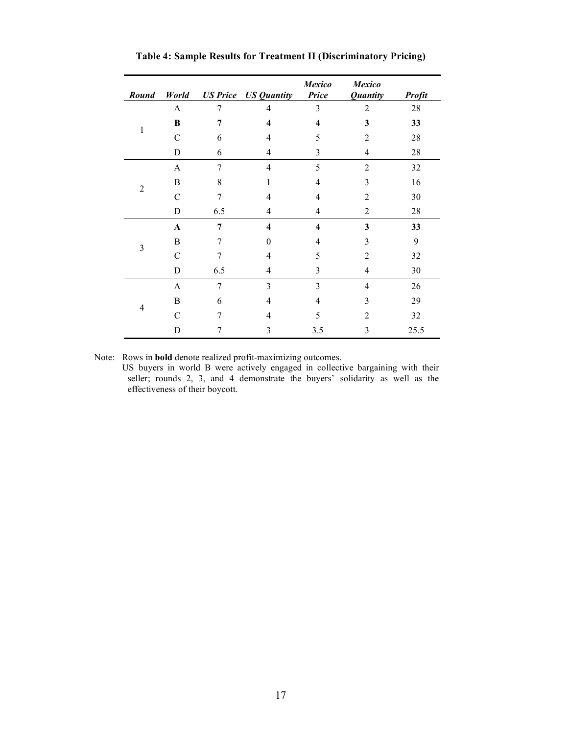| Round          | World            |                | <b>US Price US Quantity</b> | <b>Mexico</b><br>Price | <b>Mexico</b><br><b>Quantity</b> | <b>Profit</b> |
|----------------|------------------|----------------|-----------------------------|------------------------|----------------------------------|---------------|
|                | A                | 7              | 4                           | 3                      | $\overline{2}$                   | 28            |
|                | $\bf{B}$         | 7              | 4                           | 4                      | 3                                | 33            |
| 1              | $\mathcal{C}$    | 6              | 4                           | 5                      | $\overline{2}$                   | 28            |
|                | D                | 6              | $\overline{4}$              | 3                      | 4                                | 28            |
|                | A                | 7              | $\overline{4}$              | 5                      | $\overline{2}$                   | 32            |
| $\overline{2}$ | $\, {\bf B}$     | 8              | 1                           | $\overline{4}$         | 3                                | 16            |
|                | $\mathcal{C}$    | $\overline{7}$ | 4                           | $\overline{4}$         | 2                                | 30            |
|                | D                | 6.5            | 4                           | 4                      | $\overline{2}$                   | 28            |
|                | $\mathbf A$      | 7              | $\overline{\mathbf{4}}$     | 4                      | 3                                | 33            |
| $\mathfrak{Z}$ | $\boldsymbol{B}$ | 7              | $\theta$                    | 4                      | 3                                | 9             |
|                | $\mathcal{C}$    | 7              | 4                           | 5                      | $\overline{2}$                   | 32            |
|                | ${\bf D}$        | 6.5            | $\overline{4}$              | 3                      | 4                                | 30            |
|                | A                | 7              | 3                           | 3                      | 4                                | 26            |
| 4              | $\, {\bf B}$     | 6              | 4                           | 4                      | 3                                | 29            |
|                | $\mathcal{C}$    | 7              | 4                           | 5                      | $\overline{2}$                   | 32            |
|                | D                | 7              | 3                           | 3.5                    | 3                                | 25.5          |

**Table 4: Sample Results for Treatment II (Discriminatory Pricing)**

Note: Rows in **bold** denote realized profit-maximizing outcomes.

US buyers in world B were actively engaged in collective bargaining with their seller; rounds 2, 3, and 4 demonstrate the buyers' solidarity as well as the effectiveness of their boycott.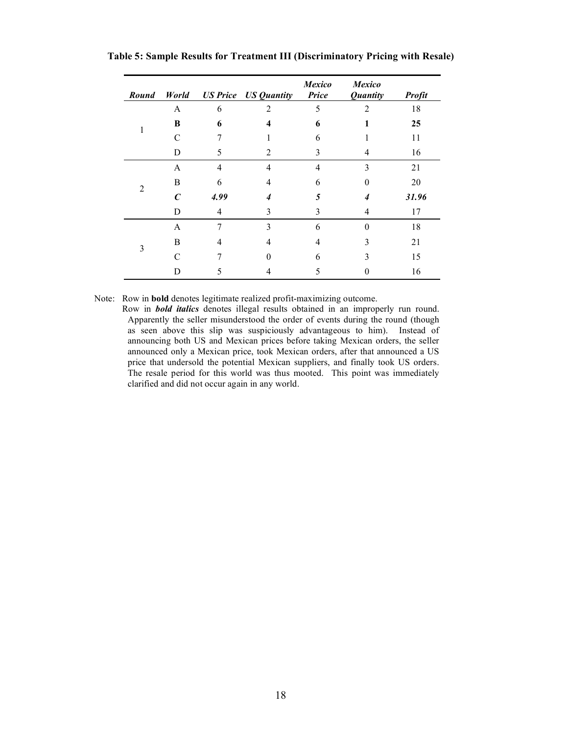| Round          | World                       |      | <b>US Price US Quantity</b> | <b>Mexico</b><br>Price | <b>Mexico</b><br><b>Quantity</b> | <b>Profit</b> |
|----------------|-----------------------------|------|-----------------------------|------------------------|----------------------------------|---------------|
|                | A                           | 6    | $\overline{2}$              | 5                      | $\overline{2}$                   | 18            |
|                | B                           | 6    | 4                           | 6                      | 1                                | 25            |
|                | C                           |      |                             | 6                      |                                  | 11            |
|                | D                           | 5    | $\overline{2}$              | 3                      | 4                                | 16            |
|                | A                           | 4    | 4                           | 4                      | 3                                | 21            |
| $\overline{2}$ | B                           | 6    | 4                           | 6                      | $\Omega$                         | 20            |
|                | $\mathcal{C}_{\mathcal{C}}$ | 4.99 | 4                           | 5                      | 4                                | 31.96         |
|                | D                           | 4    | 3                           | 3                      | 4                                | 17            |
|                | A                           |      | 3                           | 6                      | $\theta$                         | 18            |
| 3              | B                           | 4    | 4                           | 4                      | 3                                | 21            |
|                | C                           |      | $\theta$                    | 6                      | 3                                | 15            |
|                | D                           | 5    |                             | 5                      | 0                                | 16            |

**Table 5: Sample Results for Treatment III (Discriminatory Pricing with Resale)**

Note: Row in **bold** denotes legitimate realized profit-maximizing outcome.

Row in *bold italics* denotes illegal results obtained in an improperly run round. Apparently the seller misunderstood the order of events during the round (though as seen above this slip was suspiciously advantageous to him). Instead of announcing both US and Mexican prices before taking Mexican orders, the seller announced only a Mexican price, took Mexican orders, after that announced a US price that undersold the potential Mexican suppliers, and finally took US orders. The resale period for this world was thus mooted. This point was immediately clarified and did not occur again in any world.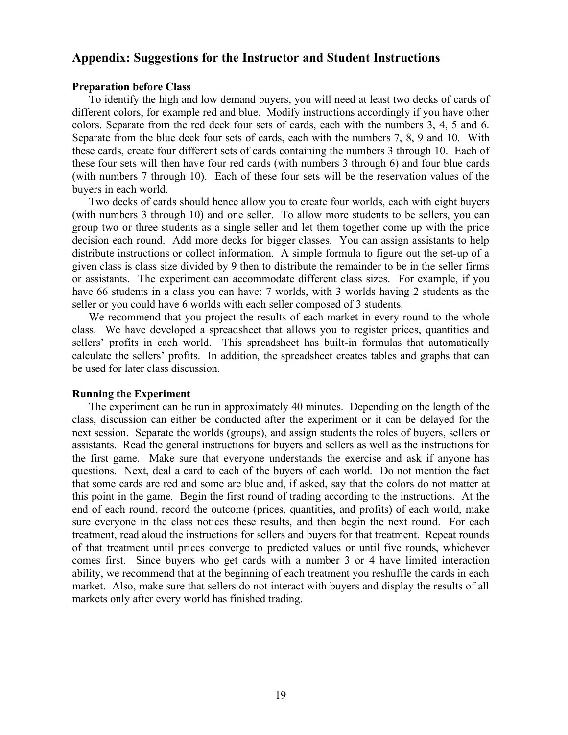## **Appendix: Suggestions for the Instructor and Student Instructions**

#### **Preparation before Class**

To identify the high and low demand buyers, you will need at least two decks of cards of different colors, for example red and blue. Modify instructions accordingly if you have other colors. Separate from the red deck four sets of cards, each with the numbers 3, 4, 5 and 6. Separate from the blue deck four sets of cards, each with the numbers 7, 8, 9 and 10. With these cards, create four different sets of cards containing the numbers 3 through 10. Each of these four sets will then have four red cards (with numbers 3 through 6) and four blue cards (with numbers 7 through 10). Each of these four sets will be the reservation values of the buyers in each world.

Two decks of cards should hence allow you to create four worlds, each with eight buyers (with numbers 3 through 10) and one seller. To allow more students to be sellers, you can group two or three students as a single seller and let them together come up with the price decision each round. Add more decks for bigger classes. You can assign assistants to help distribute instructions or collect information. A simple formula to figure out the set-up of a given class is class size divided by 9 then to distribute the remainder to be in the seller firms or assistants. The experiment can accommodate different class sizes. For example, if you have 66 students in a class you can have: 7 worlds, with 3 worlds having 2 students as the seller or you could have 6 worlds with each seller composed of 3 students.

We recommend that you project the results of each market in every round to the whole class. We have developed a spreadsheet that allows you to register prices, quantities and sellers' profits in each world. This spreadsheet has built-in formulas that automatically calculate the sellers' profits. In addition, the spreadsheet creates tables and graphs that can be used for later class discussion.

#### **Running the Experiment**

The experiment can be run in approximately 40 minutes. Depending on the length of the class, discussion can either be conducted after the experiment or it can be delayed for the next session. Separate the worlds (groups), and assign students the roles of buyers, sellers or assistants. Read the general instructions for buyers and sellers as well as the instructions for the first game. Make sure that everyone understands the exercise and ask if anyone has questions. Next, deal a card to each of the buyers of each world. Do not mention the fact that some cards are red and some are blue and, if asked, say that the colors do not matter at this point in the game. Begin the first round of trading according to the instructions. At the end of each round, record the outcome (prices, quantities, and profits) of each world, make sure everyone in the class notices these results, and then begin the next round. For each treatment, read aloud the instructions for sellers and buyers for that treatment. Repeat rounds of that treatment until prices converge to predicted values or until five rounds, whichever comes first. Since buyers who get cards with a number 3 or 4 have limited interaction ability, we recommend that at the beginning of each treatment you reshuffle the cards in each market. Also, make sure that sellers do not interact with buyers and display the results of all markets only after every world has finished trading.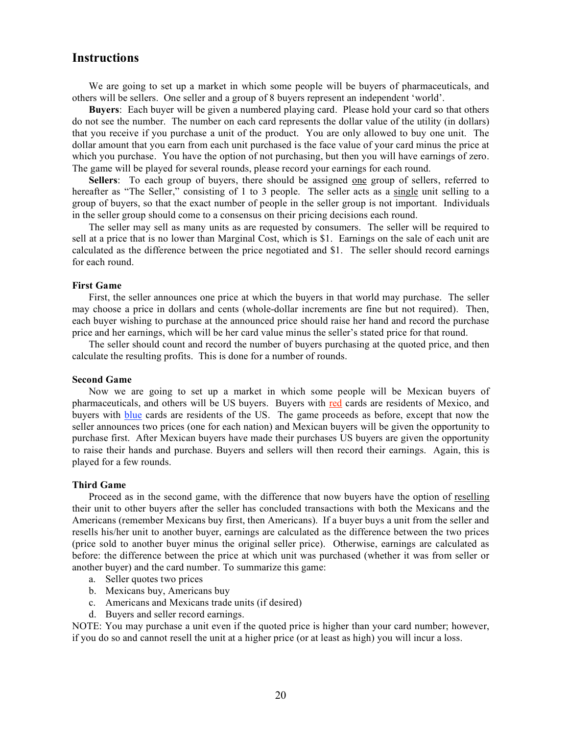## **Instructions**

We are going to set up a market in which some people will be buyers of pharmaceuticals, and others will be sellers. One seller and a group of 8 buyers represent an independent 'world'.

**Buyers**: Each buyer will be given a numbered playing card. Please hold your card so that others do not see the number. The number on each card represents the dollar value of the utility (in dollars) that you receive if you purchase a unit of the product. You are only allowed to buy one unit. The dollar amount that you earn from each unit purchased is the face value of your card minus the price at which you purchase. You have the option of not purchasing, but then you will have earnings of zero. The game will be played for several rounds, please record your earnings for each round.

**Sellers**: To each group of buyers, there should be assigned one group of sellers, referred to hereafter as "The Seller," consisting of 1 to 3 people. The seller acts as a single unit selling to a group of buyers, so that the exact number of people in the seller group is not important. Individuals in the seller group should come to a consensus on their pricing decisions each round.

The seller may sell as many units as are requested by consumers. The seller will be required to sell at a price that is no lower than Marginal Cost, which is \$1. Earnings on the sale of each unit are calculated as the difference between the price negotiated and \$1. The seller should record earnings for each round.

#### **First Game**

First, the seller announces one price at which the buyers in that world may purchase. The seller may choose a price in dollars and cents (whole-dollar increments are fine but not required). Then, each buyer wishing to purchase at the announced price should raise her hand and record the purchase price and her earnings, which will be her card value minus the seller's stated price for that round.

The seller should count and record the number of buyers purchasing at the quoted price, and then calculate the resulting profits. This is done for a number of rounds.

#### **Second Game**

Now we are going to set up a market in which some people will be Mexican buyers of pharmaceuticals, and others will be US buyers. Buyers with red cards are residents of Mexico, and buyers with blue cards are residents of the US. The game proceeds as before, except that now the seller announces two prices (one for each nation) and Mexican buyers will be given the opportunity to purchase first. After Mexican buyers have made their purchases US buyers are given the opportunity to raise their hands and purchase. Buyers and sellers will then record their earnings. Again, this is played for a few rounds.

#### **Third Game**

Proceed as in the second game, with the difference that now buyers have the option of reselling their unit to other buyers after the seller has concluded transactions with both the Mexicans and the Americans (remember Mexicans buy first, then Americans). If a buyer buys a unit from the seller and resells his/her unit to another buyer, earnings are calculated as the difference between the two prices (price sold to another buyer minus the original seller price). Otherwise, earnings are calculated as before: the difference between the price at which unit was purchased (whether it was from seller or another buyer) and the card number. To summarize this game:

- a. Seller quotes two prices
- b. Mexicans buy, Americans buy
- c. Americans and Mexicans trade units (if desired)
- d. Buyers and seller record earnings.

NOTE: You may purchase a unit even if the quoted price is higher than your card number; however, if you do so and cannot resell the unit at a higher price (or at least as high) you will incur a loss.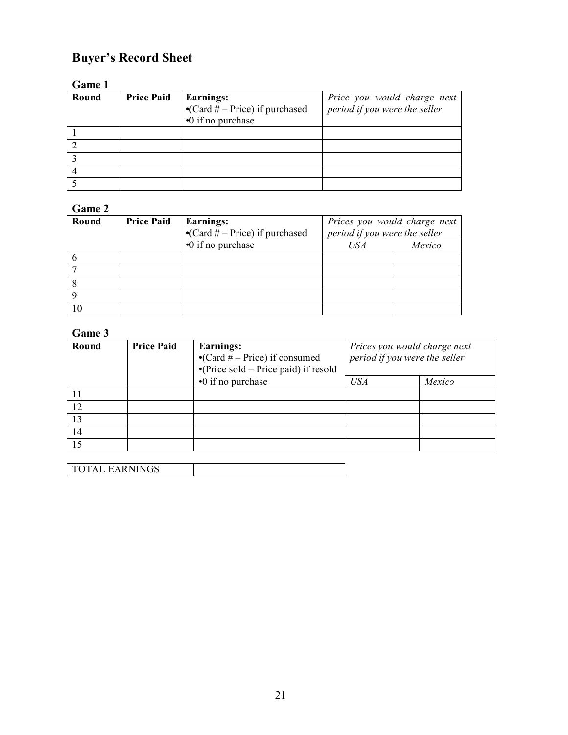# **Buyer's Record Sheet**

| <b>Game 1</b> |                   |                                                                                  |                                                              |
|---------------|-------------------|----------------------------------------------------------------------------------|--------------------------------------------------------------|
| Round         | <b>Price Paid</b> | <b>Earnings:</b><br>$\bullet$ (Card # – Price) if purchased<br>•0 if no purchase | Price you would charge next<br>period if you were the seller |
|               |                   |                                                                                  |                                                              |
|               |                   |                                                                                  |                                                              |
|               |                   |                                                                                  |                                                              |
|               |                   |                                                                                  |                                                              |
|               |                   |                                                                                  |                                                              |

## **Game 2**

| Round | <b>Price Paid</b> | Earnings:<br>$\bullet$ (Card # – Price) if purchased | Prices you would charge next<br>period if you were the seller |        |  |
|-------|-------------------|------------------------------------------------------|---------------------------------------------------------------|--------|--|
|       |                   | $\cdot$ 0 if no purchase                             |                                                               | Mexico |  |
|       |                   |                                                      |                                                               |        |  |
|       |                   |                                                      |                                                               |        |  |
|       |                   |                                                      |                                                               |        |  |
|       |                   |                                                      |                                                               |        |  |
|       |                   |                                                      |                                                               |        |  |

## **Game 3**

| Round | <b>Price Paid</b> | <b>Earnings:</b><br>$\bullet$ (Card # – Price) if consumed<br>$\bullet$ (Price sold – Price paid) if resold | Prices you would charge next<br>period if you were the seller |        |
|-------|-------------------|-------------------------------------------------------------------------------------------------------------|---------------------------------------------------------------|--------|
|       |                   | •0 if no purchase                                                                                           | US A                                                          | Mexico |
|       |                   |                                                                                                             |                                                               |        |
| 12    |                   |                                                                                                             |                                                               |        |
| 13    |                   |                                                                                                             |                                                               |        |
| 14    |                   |                                                                                                             |                                                               |        |
| 15    |                   |                                                                                                             |                                                               |        |

| $\Omega$ $\Gamma$<br>A T<br>EARNINGS |  |
|--------------------------------------|--|